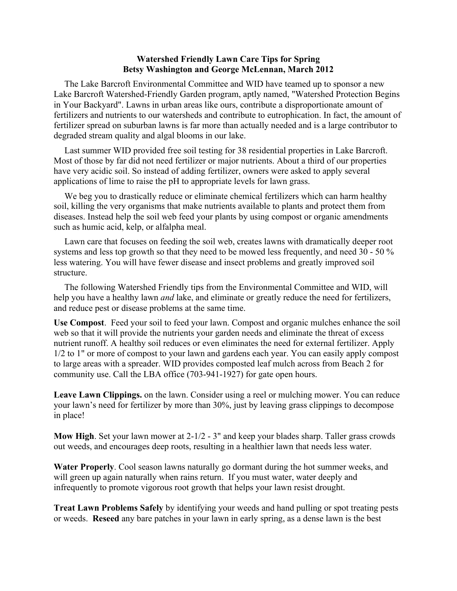## **Watershed Friendly Lawn Care Tips for Spring Betsy Washington and George McLennan, March 2012**

The Lake Barcroft Environmental Committee and WID have teamed up to sponsor a new Lake Barcroft Watershed-Friendly Garden program, aptly named, "Watershed Protection Begins in Your Backyard". Lawns in urban areas like ours, contribute a disproportionate amount of fertilizers and nutrients to our watersheds and contribute to eutrophication. In fact, the amount of fertilizer spread on suburban lawns is far more than actually needed and is a large contributor to degraded stream quality and algal blooms in our lake.

Last summer WID provided free soil testing for 38 residential properties in Lake Barcroft. Most of those by far did not need fertilizer or major nutrients. About a third of our properties have very acidic soil. So instead of adding fertilizer, owners were asked to apply several applications of lime to raise the pH to appropriate levels for lawn grass.

We beg you to drastically reduce or eliminate chemical fertilizers which can harm healthy soil, killing the very organisms that make nutrients available to plants and protect them from diseases. Instead help the soil web feed your plants by using compost or organic amendments such as humic acid, kelp, or alfalpha meal.

Lawn care that focuses on feeding the soil web, creates lawns with dramatically deeper root systems and less top growth so that they need to be mowed less frequently, and need 30 - 50 % less watering. You will have fewer disease and insect problems and greatly improved soil structure.

The following Watershed Friendly tips from the Environmental Committee and WID, will help you have a healthy lawn *and* lake, and eliminate or greatly reduce the need for fertilizers, and reduce pest or disease problems at the same time.

**Use Compost**. Feed your soil to feed your lawn. Compost and organic mulches enhance the soil web so that it will provide the nutrients your garden needs and eliminate the threat of excess nutrient runoff. A healthy soil reduces or even eliminates the need for external fertilizer. Apply 1/2 to 1" or more of compost to your lawn and gardens each year. You can easily apply compost to large areas with a spreader. WID provides composted leaf mulch across from Beach 2 for community use. Call the LBA office (703-941-1927) for gate open hours.

**Leave Lawn Clippings.** on the lawn. Consider using a reel or mulching mower. You can reduce your lawn's need for fertilizer by more than 30%, just by leaving grass clippings to decompose in place!

**Mow High**. Set your lawn mower at 2-1/2 - 3" and keep your blades sharp. Taller grass crowds out weeds, and encourages deep roots, resulting in a healthier lawn that needs less water.

**Water Properly**. Cool season lawns naturally go dormant during the hot summer weeks, and will green up again naturally when rains return. If you must water, water deeply and infrequently to promote vigorous root growth that helps your lawn resist drought.

**Treat Lawn Problems Safely** by identifying your weeds and hand pulling or spot treating pests or weeds. **Reseed** any bare patches in your lawn in early spring, as a dense lawn is the best